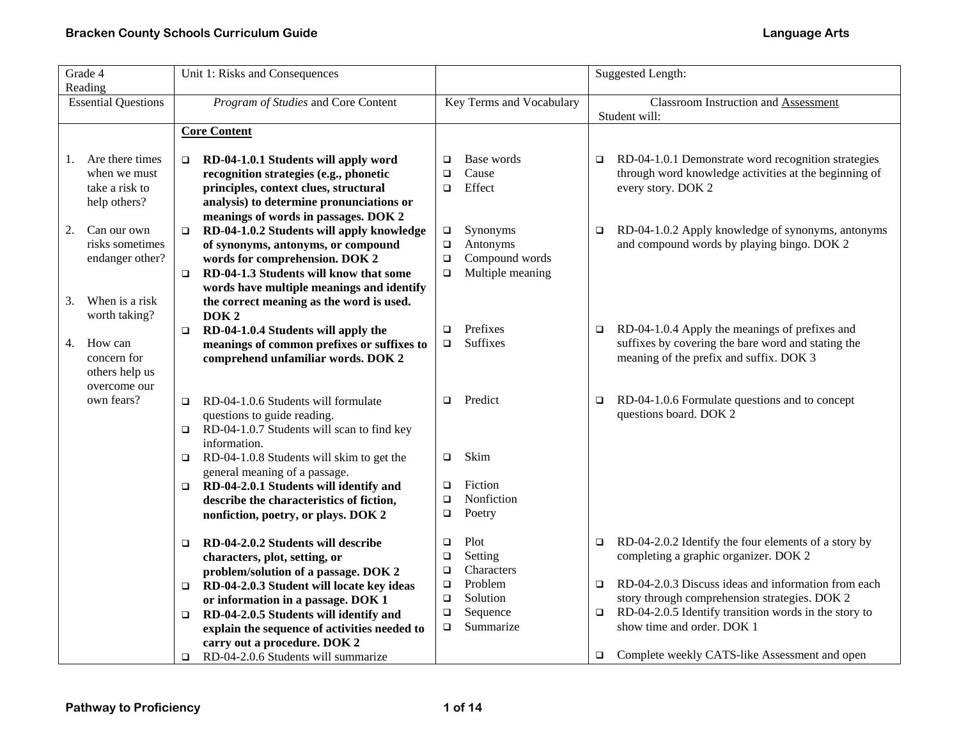| Grade 4<br>Reading |                                                                           | Unit 1: Risks and Consequences                                                                                                                                                                                                                                           |                                      |                                                            |        | <b>Suggested Length:</b>                                                                                                                        |
|--------------------|---------------------------------------------------------------------------|--------------------------------------------------------------------------------------------------------------------------------------------------------------------------------------------------------------------------------------------------------------------------|--------------------------------------|------------------------------------------------------------|--------|-------------------------------------------------------------------------------------------------------------------------------------------------|
|                    | <b>Essential Questions</b>                                                | Program of Studies and Core Content                                                                                                                                                                                                                                      |                                      | Key Terms and Vocabulary                                   |        | <b>Classroom Instruction and Assessment</b><br>Student will:                                                                                    |
|                    |                                                                           | <b>Core Content</b>                                                                                                                                                                                                                                                      |                                      |                                                            |        |                                                                                                                                                 |
| 1.                 | Are there times<br>when we must<br>take a risk to<br>help others?         | RD-04-1.0.1 Students will apply word<br>□<br>recognition strategies (e.g., phonetic<br>principles, context clues, structural<br>analysis) to determine pronunciations or<br>meanings of words in passages. DOK 2                                                         | $\Box$<br>$\Box$<br>$\Box$           | Base words<br>Cause<br>Effect                              | $\Box$ | RD-04-1.0.1 Demonstrate word recognition strategies<br>through word knowledge activities at the beginning of<br>every story. DOK 2              |
| 2.<br>3.           | Can our own<br>risks sometimes<br>endanger other?<br>When is a risk       | RD-04-1.0.2 Students will apply knowledge<br>$\Box$<br>of synonyms, antonyms, or compound<br>words for comprehension. DOK 2<br>RD-04-1.3 Students will know that some<br>$\Box$<br>words have multiple meanings and identify<br>the correct meaning as the word is used. | $\Box$<br>$\Box$<br>$\Box$<br>$\Box$ | Synonyms<br>Antonyms<br>Compound words<br>Multiple meaning | $\Box$ | RD-04-1.0.2 Apply knowledge of synonyms, antonyms<br>and compound words by playing bingo. DOK 2                                                 |
| 4.                 | worth taking?<br>How can<br>concern for<br>others help us<br>overcome our | DOK <sub>2</sub><br>RD-04-1.0.4 Students will apply the<br>$\Box$<br>meanings of common prefixes or suffixes to<br>comprehend unfamiliar words. DOK 2                                                                                                                    | $\Box$<br>$\Box$                     | Prefixes<br>Suffixes                                       | $\Box$ | RD-04-1.0.4 Apply the meanings of prefixes and<br>suffixes by covering the bare word and stating the<br>meaning of the prefix and suffix. DOK 3 |
|                    | own fears?                                                                | RD-04-1.0.6 Students will formulate<br>$\Box$<br>questions to guide reading.<br>RD-04-1.0.7 Students will scan to find key<br>$\Box$<br>information.                                                                                                                     | $\Box$                               | Predict                                                    | □      | RD-04-1.0.6 Formulate questions and to concept<br>questions board. DOK 2                                                                        |
|                    |                                                                           | RD-04-1.0.8 Students will skim to get the<br>$\Box$                                                                                                                                                                                                                      | $\Box$                               | Skim                                                       |        |                                                                                                                                                 |
|                    |                                                                           | general meaning of a passage.<br>RD-04-2.0.1 Students will identify and<br>$\Box$<br>describe the characteristics of fiction,<br>nonfiction, poetry, or plays. DOK 2                                                                                                     | $\Box$<br>$\Box$<br>$\Box$           | Fiction<br>Nonfiction<br>Poetry                            |        |                                                                                                                                                 |
|                    |                                                                           | RD-04-2.0.2 Students will describe<br>$\Box$<br>characters, plot, setting, or<br>problem/solution of a passage. DOK 2                                                                                                                                                    | $\Box$<br>□<br>$\Box$                | Plot<br>Setting<br>Characters                              | $\Box$ | RD-04-2.0.2 Identify the four elements of a story by<br>completing a graphic organizer. DOK 2                                                   |
|                    |                                                                           | RD-04-2.0.3 Student will locate key ideas<br>$\Box$<br>or information in a passage. DOK 1                                                                                                                                                                                | $\Box$<br>$\Box$                     | Problem<br>Solution                                        | □      | RD-04-2.0.3 Discuss ideas and information from each<br>story through comprehension strategies. DOK 2                                            |
|                    |                                                                           | RD-04-2.0.5 Students will identify and<br>$\Box$<br>explain the sequence of activities needed to<br>carry out a procedure. DOK 2                                                                                                                                         | $\Box$<br>$\Box$                     | Sequence<br>Summarize                                      | $\Box$ | RD-04-2.0.5 Identify transition words in the story to<br>show time and order. DOK 1                                                             |
|                    |                                                                           | RD-04-2.0.6 Students will summarize<br>□                                                                                                                                                                                                                                 |                                      |                                                            | $\Box$ | Complete weekly CATS-like Assessment and open                                                                                                   |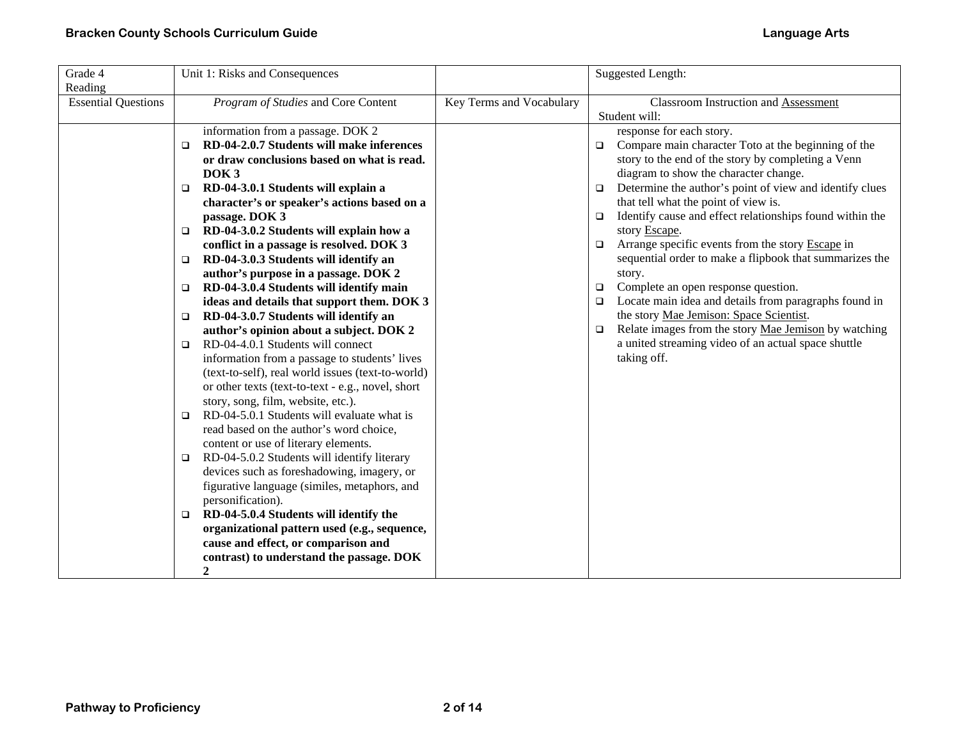| Grade 4<br>Reading         | Unit 1: Risks and Consequences                                                                                                                                                                                                                                                                                                                                                                                                                                                                                                                                                                                                                                                                                                                                                                                                                                                                                                                                                    |                          | <b>Suggested Length:</b>                                                                                                                                                                                                                                                                                                                                                                                                                                                                                                                                                                                                                                                                                                                                                                                                                        |
|----------------------------|-----------------------------------------------------------------------------------------------------------------------------------------------------------------------------------------------------------------------------------------------------------------------------------------------------------------------------------------------------------------------------------------------------------------------------------------------------------------------------------------------------------------------------------------------------------------------------------------------------------------------------------------------------------------------------------------------------------------------------------------------------------------------------------------------------------------------------------------------------------------------------------------------------------------------------------------------------------------------------------|--------------------------|-------------------------------------------------------------------------------------------------------------------------------------------------------------------------------------------------------------------------------------------------------------------------------------------------------------------------------------------------------------------------------------------------------------------------------------------------------------------------------------------------------------------------------------------------------------------------------------------------------------------------------------------------------------------------------------------------------------------------------------------------------------------------------------------------------------------------------------------------|
| <b>Essential Questions</b> | Program of Studies and Core Content                                                                                                                                                                                                                                                                                                                                                                                                                                                                                                                                                                                                                                                                                                                                                                                                                                                                                                                                               | Key Terms and Vocabulary | <b>Classroom Instruction and Assessment</b>                                                                                                                                                                                                                                                                                                                                                                                                                                                                                                                                                                                                                                                                                                                                                                                                     |
|                            | information from a passage. DOK 2<br>RD-04-2.0.7 Students will make inferences<br>$\Box$<br>or draw conclusions based on what is read.<br>DOK <sub>3</sub><br>RD-04-3.0.1 Students will explain a<br>$\Box$<br>character's or speaker's actions based on a<br>passage. DOK 3<br>RD-04-3.0.2 Students will explain how a<br>$\Box$<br>conflict in a passage is resolved. DOK 3<br>RD-04-3.0.3 Students will identify an<br>$\Box$<br>author's purpose in a passage. DOK 2<br>RD-04-3.0.4 Students will identify main<br>$\Box$<br>ideas and details that support them. DOK 3<br>RD-04-3.0.7 Students will identify an<br>$\Box$<br>author's opinion about a subject. DOK 2<br>RD-04-4.0.1 Students will connect<br>$\Box$<br>information from a passage to students' lives<br>(text-to-self), real world issues (text-to-world)<br>or other texts (text-to-text - e.g., novel, short<br>story, song, film, website, etc.).<br>RD-04-5.0.1 Students will evaluate what is<br>$\Box$ |                          | Student will:<br>response for each story.<br>Compare main character Toto at the beginning of the<br>$\Box$<br>story to the end of the story by completing a Venn<br>diagram to show the character change.<br>Determine the author's point of view and identify clues<br>O.<br>that tell what the point of view is.<br>Identify cause and effect relationships found within the<br>$\Box$<br>story Escape.<br>Arrange specific events from the story Escape in<br>$\Box$<br>sequential order to make a flipbook that summarizes the<br>story.<br>Complete an open response question.<br>O.<br>Locate main idea and details from paragraphs found in<br>$\Box$<br>the story Mae Jemison: Space Scientist.<br>Relate images from the story Mae Jemison by watching<br>$\Box$<br>a united streaming video of an actual space shuttle<br>taking off. |
|                            | read based on the author's word choice,<br>content or use of literary elements.<br>RD-04-5.0.2 Students will identify literary<br>$\Box$<br>devices such as foreshadowing, imagery, or<br>figurative language (similes, metaphors, and<br>personification).<br>RD-04-5.0.4 Students will identify the<br>$\Box$                                                                                                                                                                                                                                                                                                                                                                                                                                                                                                                                                                                                                                                                   |                          |                                                                                                                                                                                                                                                                                                                                                                                                                                                                                                                                                                                                                                                                                                                                                                                                                                                 |
|                            | organizational pattern used (e.g., sequence,<br>cause and effect, or comparison and<br>contrast) to understand the passage. DOK<br>$\boldsymbol{2}$                                                                                                                                                                                                                                                                                                                                                                                                                                                                                                                                                                                                                                                                                                                                                                                                                               |                          |                                                                                                                                                                                                                                                                                                                                                                                                                                                                                                                                                                                                                                                                                                                                                                                                                                                 |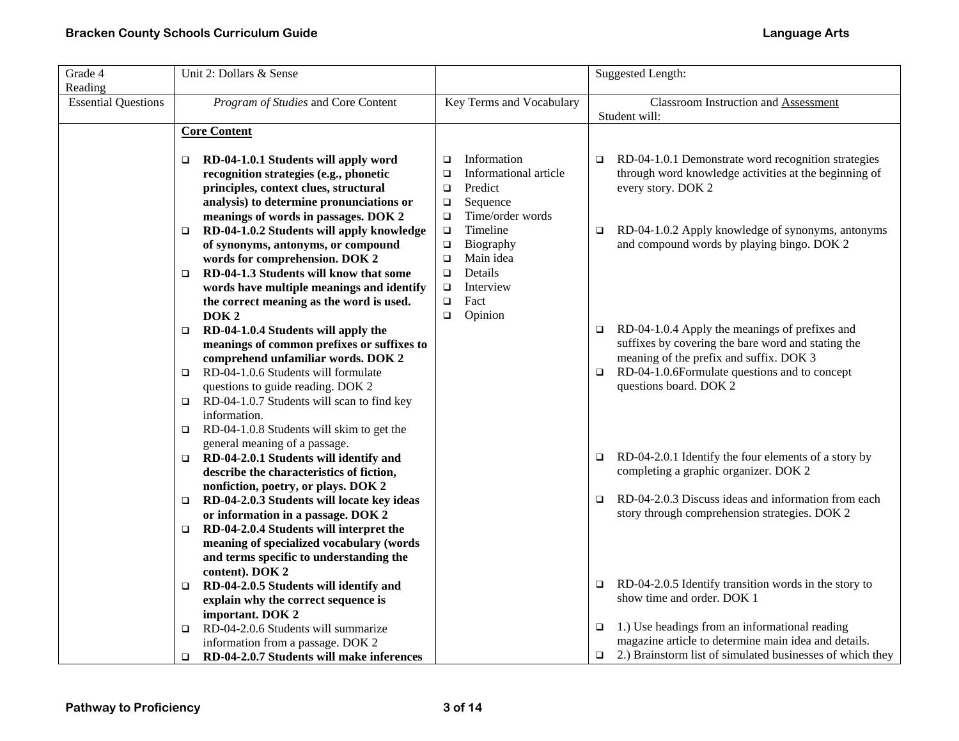| Unit 2: Dollars & Sense<br>Grade 4 |                                                                                |                |                          |        | <b>Suggested Length:</b>                                                                               |
|------------------------------------|--------------------------------------------------------------------------------|----------------|--------------------------|--------|--------------------------------------------------------------------------------------------------------|
| Reading                            |                                                                                |                |                          |        |                                                                                                        |
| <b>Essential Questions</b>         | Program of Studies and Core Content                                            |                | Key Terms and Vocabulary |        | <b>Classroom Instruction and Assessment</b>                                                            |
|                                    |                                                                                |                |                          |        | Student will:                                                                                          |
| <b>Core Content</b>                |                                                                                |                |                          |        |                                                                                                        |
|                                    | RD-04-1.0.1 Students will apply word                                           |                | Information              |        | RD-04-1.0.1 Demonstrate word recognition strategies                                                    |
| $\Box$                             | recognition strategies (e.g., phonetic                                         | □<br>$\Box$    | Informational article    | $\Box$ | through word knowledge activities at the beginning of                                                  |
|                                    | principles, context clues, structural                                          | $\Box$         | Predict                  |        | every story. DOK 2                                                                                     |
|                                    | analysis) to determine pronunciations or                                       | $\Box$         | Sequence                 |        |                                                                                                        |
|                                    | meanings of words in passages. DOK 2                                           | $\Box$         | Time/order words         |        |                                                                                                        |
| $\Box$                             | RD-04-1.0.2 Students will apply knowledge                                      | $\Box$         | Timeline                 | $\Box$ | RD-04-1.0.2 Apply knowledge of synonyms, antonyms                                                      |
|                                    | of synonyms, antonyms, or compound                                             | $\Box$         | Biography                |        | and compound words by playing bingo. DOK 2                                                             |
|                                    | words for comprehension. DOK 2                                                 | $\Box$         | Main idea                |        |                                                                                                        |
| $\Box$                             | RD-04-1.3 Students will know that some                                         | $\Box$         | Details                  |        |                                                                                                        |
|                                    | words have multiple meanings and identify                                      | $\Box$         | Interview                |        |                                                                                                        |
|                                    | the correct meaning as the word is used.                                       | Fact<br>$\Box$ |                          |        |                                                                                                        |
| DOK <sub>2</sub>                   |                                                                                | $\Box$         | Opinion                  |        |                                                                                                        |
| $\Box$                             | RD-04-1.0.4 Students will apply the                                            |                |                          | $\Box$ | RD-04-1.0.4 Apply the meanings of prefixes and                                                         |
|                                    | meanings of common prefixes or suffixes to                                     |                |                          |        | suffixes by covering the bare word and stating the                                                     |
|                                    | comprehend unfamiliar words. DOK 2                                             |                |                          |        | meaning of the prefix and suffix. DOK 3                                                                |
| $\Box$                             | RD-04-1.0.6 Students will formulate                                            |                |                          | $\Box$ | RD-04-1.0.6Formulate questions and to concept                                                          |
|                                    | questions to guide reading. DOK 2                                              |                |                          |        | questions board. DOK 2                                                                                 |
| $\Box$<br>information.             | RD-04-1.0.7 Students will scan to find key                                     |                |                          |        |                                                                                                        |
| $\Box$                             | RD-04-1.0.8 Students will skim to get the                                      |                |                          |        |                                                                                                        |
| general meaning of a passage.      |                                                                                |                |                          |        |                                                                                                        |
| $\Box$                             | RD-04-2.0.1 Students will identify and                                         |                |                          | $\Box$ | RD-04-2.0.1 Identify the four elements of a story by                                                   |
|                                    | describe the characteristics of fiction,                                       |                |                          |        | completing a graphic organizer. DOK 2                                                                  |
|                                    | nonfiction, poetry, or plays. DOK 2                                            |                |                          |        |                                                                                                        |
| $\Box$                             | RD-04-2.0.3 Students will locate key ideas                                     |                |                          | $\Box$ | RD-04-2.0.3 Discuss ideas and information from each                                                    |
|                                    | or information in a passage. DOK 2                                             |                |                          |        | story through comprehension strategies. DOK 2                                                          |
| $\Box$                             | RD-04-2.0.4 Students will interpret the                                        |                |                          |        |                                                                                                        |
|                                    | meaning of specialized vocabulary (words                                       |                |                          |        |                                                                                                        |
|                                    | and terms specific to understanding the                                        |                |                          |        |                                                                                                        |
| content). DOK 2                    |                                                                                |                |                          |        |                                                                                                        |
| $\Box$                             | RD-04-2.0.5 Students will identify and                                         |                |                          |        | RD-04-2.0.5 Identify transition words in the story to                                                  |
|                                    | explain why the correct sequence is                                            |                |                          |        | show time and order. DOK 1                                                                             |
| important. DOK 2                   |                                                                                |                |                          |        |                                                                                                        |
| $\Box$                             | RD-04-2.0.6 Students will summarize                                            |                |                          | $\Box$ | 1.) Use headings from an informational reading<br>magazine article to determine main idea and details. |
| $\Box$                             | information from a passage. DOK 2<br>RD-04-2.0.7 Students will make inferences |                |                          | $\Box$ | 2.) Brainstorm list of simulated businesses of which they                                              |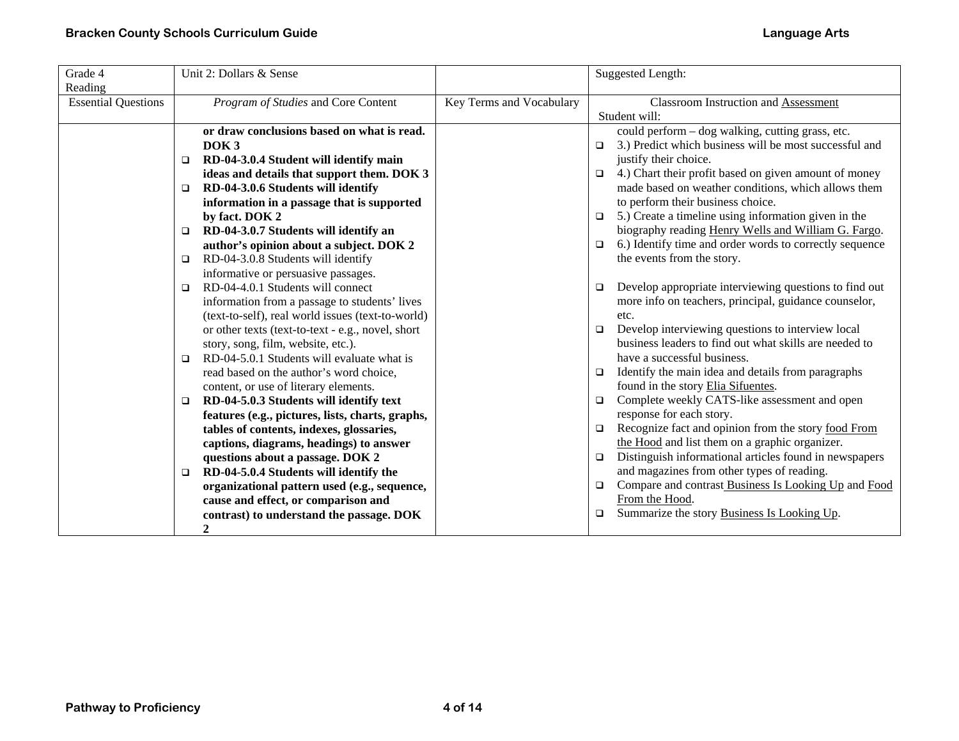| Grade 4                    | Unit 2: Dollars & Sense                              |                          | Suggested Length:                                                 |
|----------------------------|------------------------------------------------------|--------------------------|-------------------------------------------------------------------|
| Reading                    |                                                      |                          |                                                                   |
| <b>Essential Questions</b> | Program of Studies and Core Content                  | Key Terms and Vocabulary | Classroom Instruction and Assessment                              |
|                            |                                                      |                          | Student will:                                                     |
|                            | or draw conclusions based on what is read.           |                          | could perform - dog walking, cutting grass, etc.                  |
|                            | DOK <sub>3</sub>                                     |                          | 3.) Predict which business will be most successful and<br>$\Box$  |
|                            | RD-04-3.0.4 Student will identify main<br>$\Box$     |                          | justify their choice.                                             |
|                            | ideas and details that support them. DOK 3           |                          | 4.) Chart their profit based on given amount of money<br>$\Box$   |
|                            | RD-04-3.0.6 Students will identify<br>$\Box$         |                          | made based on weather conditions, which allows them               |
|                            | information in a passage that is supported           |                          | to perform their business choice.                                 |
|                            | by fact. DOK 2                                       |                          | 5.) Create a timeline using information given in the<br>$\Box$    |
|                            | RD-04-3.0.7 Students will identify an<br>$\Box$      |                          | biography reading Henry Wells and William G. Fargo.               |
|                            | author's opinion about a subject. DOK 2              |                          | 6.) Identify time and order words to correctly sequence<br>$\Box$ |
|                            | RD-04-3.0.8 Students will identify<br>$\Box$         |                          | the events from the story.                                        |
|                            | informative or persuasive passages.                  |                          |                                                                   |
|                            | RD-04-4.0.1 Students will connect<br>$\Box$          |                          | Develop appropriate interviewing questions to find out<br>$\Box$  |
|                            | information from a passage to students' lives        |                          | more info on teachers, principal, guidance counselor,             |
|                            | (text-to-self), real world issues (text-to-world)    |                          | etc.                                                              |
|                            | or other texts (text-to-text - e.g., novel, short    |                          | Develop interviewing questions to interview local<br>$\Box$       |
|                            | story, song, film, website, etc.).                   |                          | business leaders to find out what skills are needed to            |
|                            | RD-04-5.0.1 Students will evaluate what is<br>$\Box$ |                          | have a successful business.                                       |
|                            | read based on the author's word choice,              |                          | Identify the main idea and details from paragraphs<br>$\Box$      |
|                            | content, or use of literary elements.                |                          | found in the story Elia Sifuentes.                                |
|                            | RD-04-5.0.3 Students will identify text<br>$\Box$    |                          | Complete weekly CATS-like assessment and open<br>$\Box$           |
|                            | features (e.g., pictures, lists, charts, graphs,     |                          | response for each story.                                          |
|                            | tables of contents, indexes, glossaries,             |                          | Recognize fact and opinion from the story food From               |
|                            | captions, diagrams, headings) to answer              |                          | the Hood and list them on a graphic organizer.                    |
|                            | questions about a passage. DOK 2                     |                          | Distinguish informational articles found in newspapers<br>$\Box$  |
|                            | RD-04-5.0.4 Students will identify the<br>$\Box$     |                          | and magazines from other types of reading.                        |
|                            | organizational pattern used (e.g., sequence,         |                          | Compare and contrast Business Is Looking Up and Food<br>$\Box$    |
|                            | cause and effect, or comparison and                  |                          | From the Hood.                                                    |
|                            | contrast) to understand the passage. DOK             |                          | Summarize the story Business Is Looking Up.<br>▫                  |
|                            | $\boldsymbol{2}$                                     |                          |                                                                   |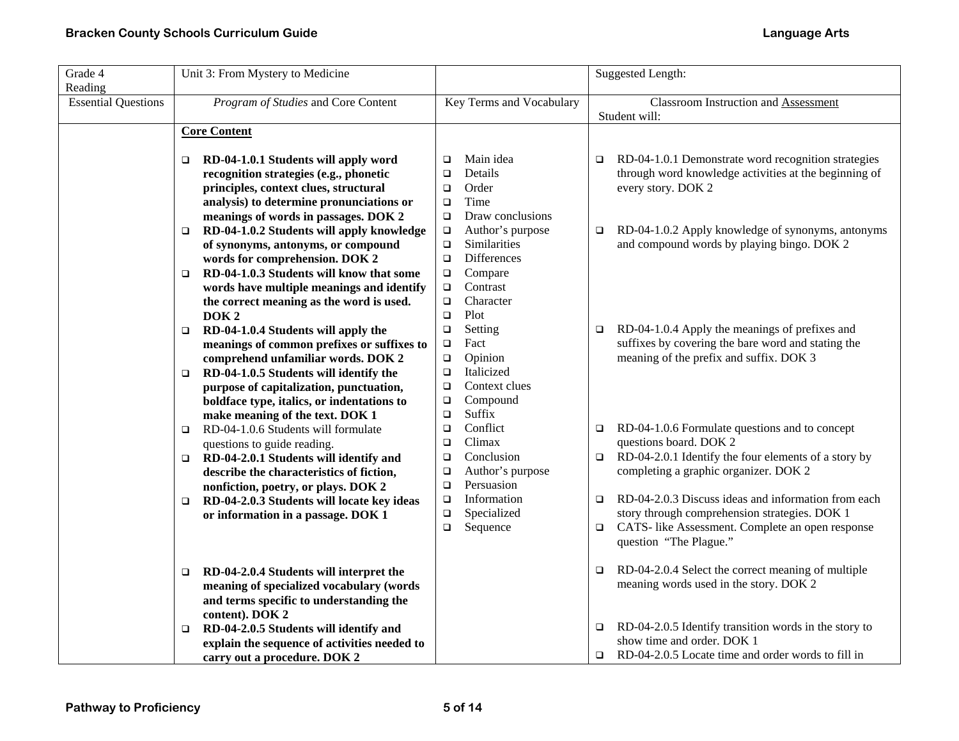| Grade 4<br>Reading         | Unit 3: From Mystery to Medicine                                                                                                               |                                     | Suggested Length:                                                                                                                                             |
|----------------------------|------------------------------------------------------------------------------------------------------------------------------------------------|-------------------------------------|---------------------------------------------------------------------------------------------------------------------------------------------------------------|
| <b>Essential Questions</b> | Program of Studies and Core Content                                                                                                            | Key Terms and Vocabulary            | <b>Classroom Instruction and Assessment</b><br>Student will:                                                                                                  |
|                            | <b>Core Content</b>                                                                                                                            |                                     |                                                                                                                                                               |
|                            | RD-04-1.0.1 Students will apply word<br>$\Box$                                                                                                 | Main idea<br>$\Box$                 | RD-04-1.0.1 Demonstrate word recognition strategies<br>$\Box$                                                                                                 |
|                            | recognition strategies (e.g., phonetic                                                                                                         | Details<br>$\Box$                   | through word knowledge activities at the beginning of                                                                                                         |
|                            | principles, context clues, structural                                                                                                          | Order<br>$\Box$                     | every story. DOK 2                                                                                                                                            |
|                            | analysis) to determine pronunciations or                                                                                                       | Time<br>$\Box$                      |                                                                                                                                                               |
|                            | meanings of words in passages. DOK 2                                                                                                           | Draw conclusions<br>$\Box$          |                                                                                                                                                               |
|                            | RD-04-1.0.2 Students will apply knowledge<br>$\Box$                                                                                            | Author's purpose<br>$\Box$          | RD-04-1.0.2 Apply knowledge of synonyms, antonyms<br>$\Box$                                                                                                   |
|                            | of synonyms, antonyms, or compound                                                                                                             | Similarities<br>$\Box$              | and compound words by playing bingo. DOK 2                                                                                                                    |
|                            | words for comprehension. DOK 2                                                                                                                 | <b>Differences</b><br>$\Box$        |                                                                                                                                                               |
|                            | RD-04-1.0.3 Students will know that some<br>$\Box$                                                                                             | Compare<br>$\Box$                   |                                                                                                                                                               |
|                            | words have multiple meanings and identify                                                                                                      | Contrast<br>$\Box$                  |                                                                                                                                                               |
|                            | the correct meaning as the word is used.                                                                                                       | Character<br>$\Box$                 |                                                                                                                                                               |
|                            | DOK <sub>2</sub>                                                                                                                               | Plot<br>$\Box$                      |                                                                                                                                                               |
|                            | RD-04-1.0.4 Students will apply the<br>$\Box$                                                                                                  | $\Box$<br>Setting                   | RD-04-1.0.4 Apply the meanings of prefixes and<br>$\Box$                                                                                                      |
|                            | meanings of common prefixes or suffixes to                                                                                                     | Fact<br>$\Box$                      | suffixes by covering the bare word and stating the                                                                                                            |
|                            | comprehend unfamiliar words. DOK 2                                                                                                             | Opinion<br>$\Box$                   | meaning of the prefix and suffix. DOK 3                                                                                                                       |
|                            | RD-04-1.0.5 Students will identify the<br>▫                                                                                                    | Italicized<br>$\Box$                |                                                                                                                                                               |
|                            | purpose of capitalization, punctuation,                                                                                                        | Context clues<br>$\Box$             |                                                                                                                                                               |
|                            | boldface type, italics, or indentations to                                                                                                     | Compound<br>$\Box$                  |                                                                                                                                                               |
|                            | make meaning of the text. DOK 1                                                                                                                | Suffix<br>$\Box$                    |                                                                                                                                                               |
|                            | RD-04-1.0.6 Students will formulate<br>$\Box$                                                                                                  | Conflict<br>$\Box$                  | RD-04-1.0.6 Formulate questions and to concept<br>$\Box$                                                                                                      |
|                            | questions to guide reading.                                                                                                                    | Climax<br>$\Box$                    | questions board. DOK 2                                                                                                                                        |
|                            | RD-04-2.0.1 Students will identify and<br>$\Box$                                                                                               | Conclusion<br>$\Box$                | RD-04-2.0.1 Identify the four elements of a story by<br>$\Box$                                                                                                |
|                            | describe the characteristics of fiction,                                                                                                       | Author's purpose<br>$\Box$          | completing a graphic organizer. DOK 2                                                                                                                         |
|                            | nonfiction, poetry, or plays. DOK 2                                                                                                            | Persuasion<br>$\Box$<br>Information | RD-04-2.0.3 Discuss ideas and information from each                                                                                                           |
|                            | RD-04-2.0.3 Students will locate key ideas<br>□                                                                                                | $\Box$<br>Specialized<br>$\Box$     | $\Box$<br>story through comprehension strategies. DOK 1                                                                                                       |
|                            | or information in a passage. DOK 1                                                                                                             | Sequence<br>$\Box$                  | CATS- like Assessment. Complete an open response<br>$\Box$                                                                                                    |
|                            |                                                                                                                                                |                                     | question "The Plague."                                                                                                                                        |
|                            | RD-04-2.0.4 Students will interpret the<br>$\Box$<br>meaning of specialized vocabulary (words<br>and terms specific to understanding the       |                                     | RD-04-2.0.4 Select the correct meaning of multiple<br>$\Box$<br>meaning words used in the story. DOK 2                                                        |
|                            | content). DOK 2<br>RD-04-2.0.5 Students will identify and<br>□<br>explain the sequence of activities needed to<br>carry out a procedure. DOK 2 |                                     | RD-04-2.0.5 Identify transition words in the story to<br>$\Box$<br>show time and order. DOK 1<br>RD-04-2.0.5 Locate time and order words to fill in<br>$\Box$ |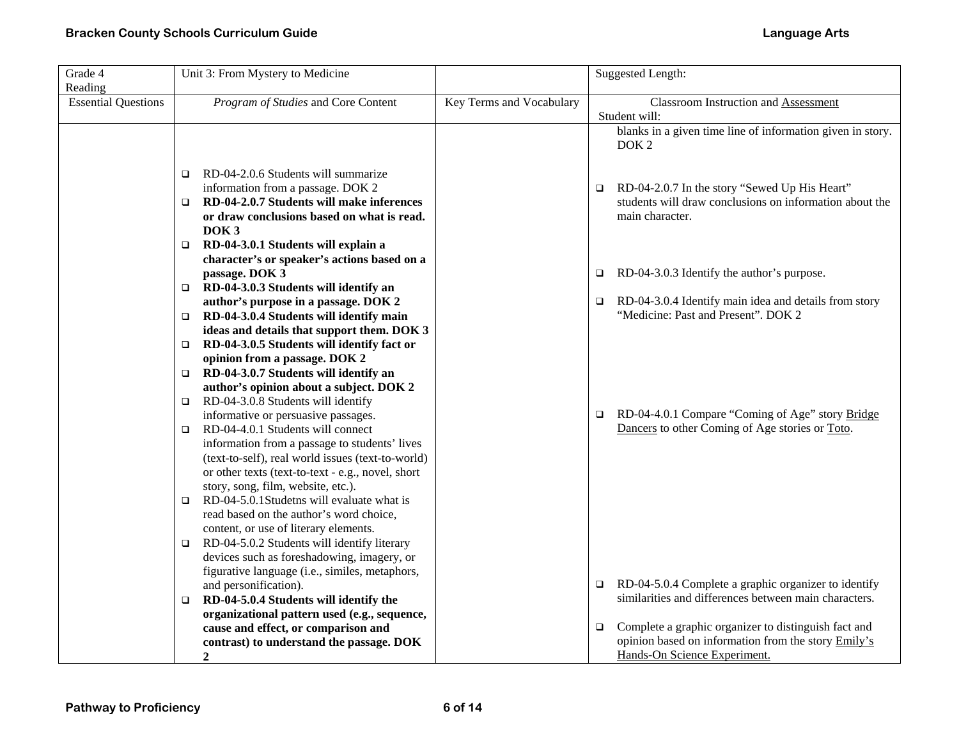| Grade 4                               | Unit 3: From Mystery to Medicine                                                                                                                                                                                                              |                          | <b>Suggested Length:</b>                                                                                                                              |
|---------------------------------------|-----------------------------------------------------------------------------------------------------------------------------------------------------------------------------------------------------------------------------------------------|--------------------------|-------------------------------------------------------------------------------------------------------------------------------------------------------|
| Reading<br><b>Essential Questions</b> | Program of Studies and Core Content                                                                                                                                                                                                           | Key Terms and Vocabulary | <b>Classroom Instruction and Assessment</b><br>Student will:                                                                                          |
|                                       |                                                                                                                                                                                                                                               |                          | blanks in a given time line of information given in story.<br>DOK <sub>2</sub>                                                                        |
|                                       | RD-04-2.0.6 Students will summarize<br>◻<br>information from a passage. DOK 2<br>RD-04-2.0.7 Students will make inferences<br>$\Box$<br>or draw conclusions based on what is read.<br>DOK <sub>3</sub><br>RD-04-3.0.1 Students will explain a |                          | RD-04-2.0.7 In the story "Sewed Up His Heart"<br>$\Box$<br>students will draw conclusions on information about the<br>main character.                 |
|                                       | character's or speaker's actions based on a<br>passage. DOK 3                                                                                                                                                                                 |                          | RD-04-3.0.3 Identify the author's purpose.<br>$\Box$                                                                                                  |
|                                       | RD-04-3.0.3 Students will identify an<br>$\Box$<br>author's purpose in a passage. DOK 2                                                                                                                                                       |                          | RD-04-3.0.4 Identify main idea and details from story<br>$\Box$                                                                                       |
|                                       | RD-04-3.0.4 Students will identify main<br>o.<br>ideas and details that support them. DOK 3                                                                                                                                                   |                          | "Medicine: Past and Present". DOK 2                                                                                                                   |
|                                       | RD-04-3.0.5 Students will identify fact or<br>$\Box$<br>opinion from a passage. DOK 2                                                                                                                                                         |                          |                                                                                                                                                       |
|                                       | RD-04-3.0.7 Students will identify an<br>▫<br>author's opinion about a subject. DOK 2                                                                                                                                                         |                          |                                                                                                                                                       |
|                                       | RD-04-3.0.8 Students will identify<br>□<br>informative or persuasive passages.                                                                                                                                                                |                          | RD-04-4.0.1 Compare "Coming of Age" story Bridge<br>$\Box$                                                                                            |
|                                       | RD-04-4.0.1 Students will connect<br>$\Box$<br>information from a passage to students' lives<br>(text-to-self), real world issues (text-to-world)<br>or other texts (text-to-text - e.g., novel, short<br>story, song, film, website, etc.).  |                          | Dancers to other Coming of Age stories or Toto.                                                                                                       |
|                                       | RD-04-5.0.1Studetns will evaluate what is<br>$\Box$<br>read based on the author's word choice,<br>content, or use of literary elements.                                                                                                       |                          |                                                                                                                                                       |
|                                       | RD-04-5.0.2 Students will identify literary<br>$\Box$<br>devices such as foreshadowing, imagery, or<br>figurative language (i.e., similes, metaphors,                                                                                         |                          |                                                                                                                                                       |
|                                       | and personification).<br>RD-04-5.0.4 Students will identify the<br>$\Box$                                                                                                                                                                     |                          | RD-04-5.0.4 Complete a graphic organizer to identify<br>$\Box$<br>similarities and differences between main characters.                               |
|                                       | organizational pattern used (e.g., sequence,<br>cause and effect, or comparison and<br>contrast) to understand the passage. DOK<br>$\boldsymbol{2}$                                                                                           |                          | Complete a graphic organizer to distinguish fact and<br>$\Box$<br>opinion based on information from the story Emily's<br>Hands-On Science Experiment. |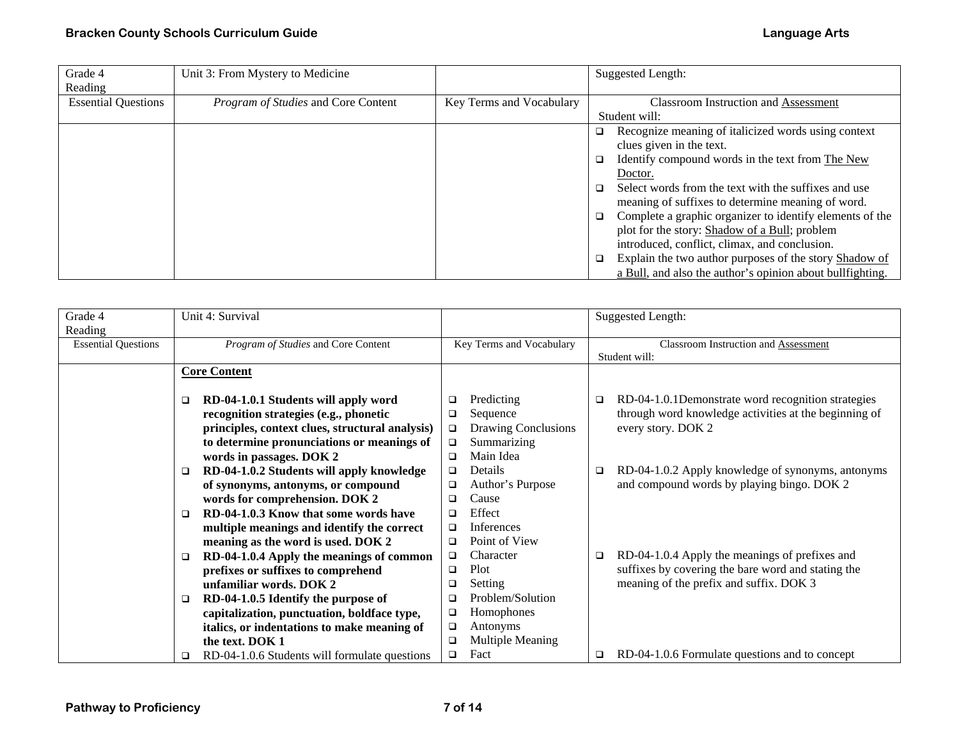| Grade 4                    | Unit 3: From Mystery to Medicine    |                          | Suggested Length:                                                  |
|----------------------------|-------------------------------------|--------------------------|--------------------------------------------------------------------|
| Reading                    |                                     |                          |                                                                    |
| <b>Essential Questions</b> | Program of Studies and Core Content | Key Terms and Vocabulary | Classroom Instruction and Assessment                               |
|                            |                                     |                          | Student will:                                                      |
|                            |                                     |                          | Recognize meaning of italicized words using context<br>o.          |
|                            |                                     |                          | clues given in the text.                                           |
|                            |                                     |                          | Identify compound words in the text from The New<br>$\Box$         |
|                            |                                     |                          | Doctor.                                                            |
|                            |                                     |                          | Select words from the text with the suffixes and use<br>$\Box$     |
|                            |                                     |                          | meaning of suffixes to determine meaning of word.                  |
|                            |                                     |                          | Complete a graphic organizer to identify elements of the<br>$\Box$ |
|                            |                                     |                          | plot for the story: Shadow of a Bull; problem                      |
|                            |                                     |                          | introduced, conflict, climax, and conclusion.                      |
|                            |                                     |                          | Explain the two author purposes of the story Shadow of<br>o.       |
|                            |                                     |                          | a Bull, and also the author's opinion about bullfighting.          |

| Grade 4                    | Unit 4: Survival                                   |                               | <b>Suggested Length:</b>                                 |
|----------------------------|----------------------------------------------------|-------------------------------|----------------------------------------------------------|
| Reading                    |                                                    |                               |                                                          |
| <b>Essential Questions</b> | Program of Studies and Core Content                | Key Terms and Vocabulary      | Classroom Instruction and Assessment                     |
|                            |                                                    |                               | Student will:                                            |
|                            | <b>Core Content</b>                                |                               |                                                          |
|                            |                                                    |                               |                                                          |
|                            | RD-04-1.0.1 Students will apply word<br>$\Box$     | Predicting<br>□               | RD-04-1.0.1Demonstrate word recognition strategies<br>□  |
|                            | recognition strategies (e.g., phonetic             | Sequence<br>$\Box$            | through word knowledge activities at the beginning of    |
|                            | principles, context clues, structural analysis)    | Drawing Conclusions<br>$\Box$ | every story. DOK 2                                       |
|                            | to determine pronunciations or meanings of         | Summarizing<br>$\Box$         |                                                          |
|                            | words in passages. DOK 2                           | Main Idea<br>$\Box$           |                                                          |
|                            | RD-04-1.0.2 Students will apply knowledge<br>□     | Details<br>o.                 | RD-04-1.0.2 Apply knowledge of synonyms, antonyms<br>❏   |
|                            | of synonyms, antonyms, or compound                 | Author's Purpose<br>□         | and compound words by playing bingo. DOK 2               |
|                            | words for comprehension. DOK 2                     | Cause<br>$\Box$               |                                                          |
|                            | RD-04-1.0.3 Know that some words have<br>$\Box$    | Effect<br>$\Box$              |                                                          |
|                            | multiple meanings and identify the correct         | <b>Inferences</b><br>$\Box$   |                                                          |
|                            | meaning as the word is used. DOK 2                 | Point of View<br>$\Box$       |                                                          |
|                            | RD-04-1.0.4 Apply the meanings of common<br>$\Box$ | Character<br>$\Box$           | RD-04-1.0.4 Apply the meanings of prefixes and<br>$\Box$ |
|                            | prefixes or suffixes to comprehend                 | Plot<br>□                     | suffixes by covering the bare word and stating the       |
|                            | unfamiliar words. DOK 2                            | Setting<br>□                  | meaning of the prefix and suffix. DOK 3                  |
|                            | RD-04-1.0.5 Identify the purpose of<br>□           | Problem/Solution<br>□         |                                                          |
|                            | capitalization, punctuation, boldface type,        | Homophones<br>❏               |                                                          |
|                            |                                                    | ❏                             |                                                          |
|                            | italics, or indentations to make meaning of        | Antonyms                      |                                                          |
|                            | the text. DOK 1                                    | Multiple Meaning<br>□         |                                                          |
|                            | RD-04-1.0.6 Students will formulate questions<br>□ | Fact<br>□                     | RD-04-1.0.6 Formulate questions and to concept<br>□      |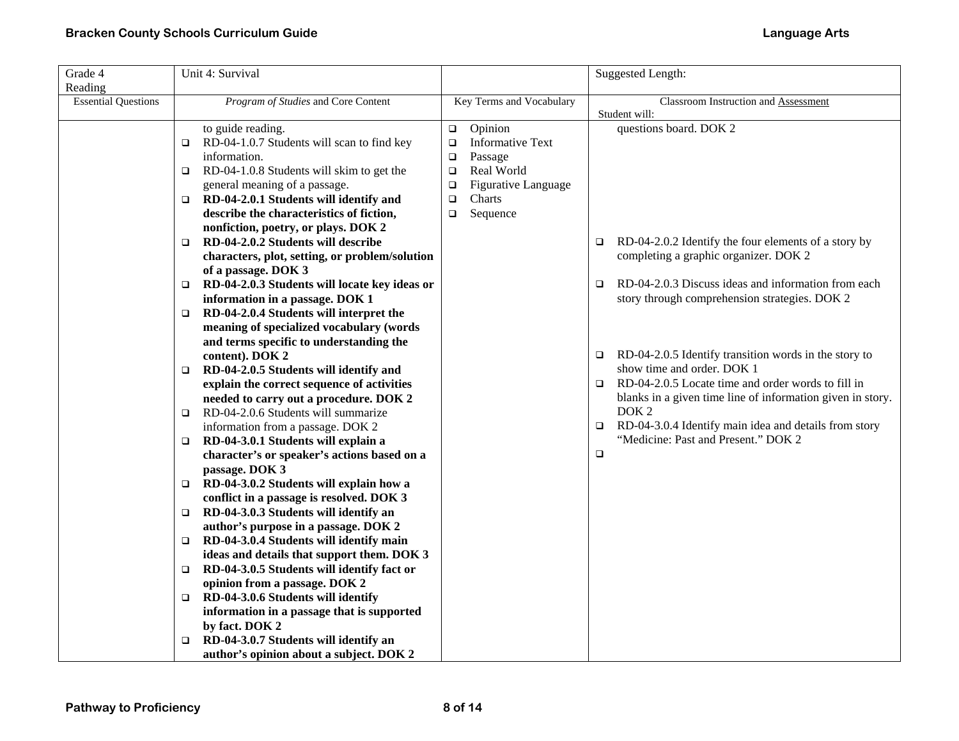| Grade 4                    | Unit 4: Survival                                    |                                      | Suggested Length:                                               |
|----------------------------|-----------------------------------------------------|--------------------------------------|-----------------------------------------------------------------|
| Reading                    |                                                     |                                      |                                                                 |
| <b>Essential Questions</b> | Program of Studies and Core Content                 | Key Terms and Vocabulary             | Classroom Instruction and Assessment<br>Student will:           |
|                            | to guide reading.                                   | Opinion<br>$\Box$                    | questions board. DOK 2                                          |
|                            | RD-04-1.0.7 Students will scan to find key<br>□     | <b>Informative Text</b><br>$\Box$    |                                                                 |
|                            | information.                                        | $\Box$<br>Passage                    |                                                                 |
|                            | RD-04-1.0.8 Students will skim to get the<br>o      | Real World<br>$\Box$                 |                                                                 |
|                            | general meaning of a passage.                       | <b>Figurative Language</b><br>$\Box$ |                                                                 |
|                            | RD-04-2.0.1 Students will identify and<br>□         | Charts<br>$\Box$                     |                                                                 |
|                            | describe the characteristics of fiction,            | Sequence<br>$\Box$                   |                                                                 |
|                            | nonfiction, poetry, or plays. DOK 2                 |                                      |                                                                 |
|                            | RD-04-2.0.2 Students will describe<br>o.            |                                      | RD-04-2.0.2 Identify the four elements of a story by<br>$\Box$  |
|                            | characters, plot, setting, or problem/solution      |                                      | completing a graphic organizer. DOK 2                           |
|                            | of a passage. DOK 3                                 |                                      |                                                                 |
|                            | RD-04-2.0.3 Students will locate key ideas or<br>o. |                                      | RD-04-2.0.3 Discuss ideas and information from each<br>$\Box$   |
|                            | information in a passage. DOK 1                     |                                      | story through comprehension strategies. DOK 2                   |
|                            | RD-04-2.0.4 Students will interpret the<br>$\Box$   |                                      |                                                                 |
|                            | meaning of specialized vocabulary (words            |                                      |                                                                 |
|                            | and terms specific to understanding the             |                                      |                                                                 |
|                            | content). DOK 2                                     |                                      | RD-04-2.0.5 Identify transition words in the story to<br>$\Box$ |
|                            | RD-04-2.0.5 Students will identify and<br>□         |                                      | show time and order. DOK 1                                      |
|                            | explain the correct sequence of activities          |                                      | RD-04-2.0.5 Locate time and order words to fill in<br>$\Box$    |
|                            | needed to carry out a procedure. DOK 2              |                                      | blanks in a given time line of information given in story.      |
|                            | RD-04-2.0.6 Students will summarize<br>□            |                                      | DOK <sub>2</sub>                                                |
|                            | information from a passage. DOK 2                   |                                      | RD-04-3.0.4 Identify main idea and details from story<br>$\Box$ |
|                            | RD-04-3.0.1 Students will explain a<br>$\Box$       |                                      | "Medicine: Past and Present." DOK 2                             |
|                            | character's or speaker's actions based on a         |                                      | $\Box$                                                          |
|                            | passage. DOK 3                                      |                                      |                                                                 |
|                            | RD-04-3.0.2 Students will explain how a<br>o.       |                                      |                                                                 |
|                            | conflict in a passage is resolved. DOK 3            |                                      |                                                                 |
|                            | RD-04-3.0.3 Students will identify an<br>□          |                                      |                                                                 |
|                            | author's purpose in a passage. DOK 2                |                                      |                                                                 |
|                            | RD-04-3.0.4 Students will identify main<br>o.       |                                      |                                                                 |
|                            | ideas and details that support them. DOK 3          |                                      |                                                                 |
|                            | RD-04-3.0.5 Students will identify fact or<br>□     |                                      |                                                                 |
|                            | opinion from a passage. DOK 2                       |                                      |                                                                 |
|                            | RD-04-3.0.6 Students will identify<br>o             |                                      |                                                                 |
|                            | information in a passage that is supported          |                                      |                                                                 |
|                            | by fact. DOK 2                                      |                                      |                                                                 |
|                            | RD-04-3.0.7 Students will identify an<br>o.         |                                      |                                                                 |
|                            | author's opinion about a subject. DOK 2             |                                      |                                                                 |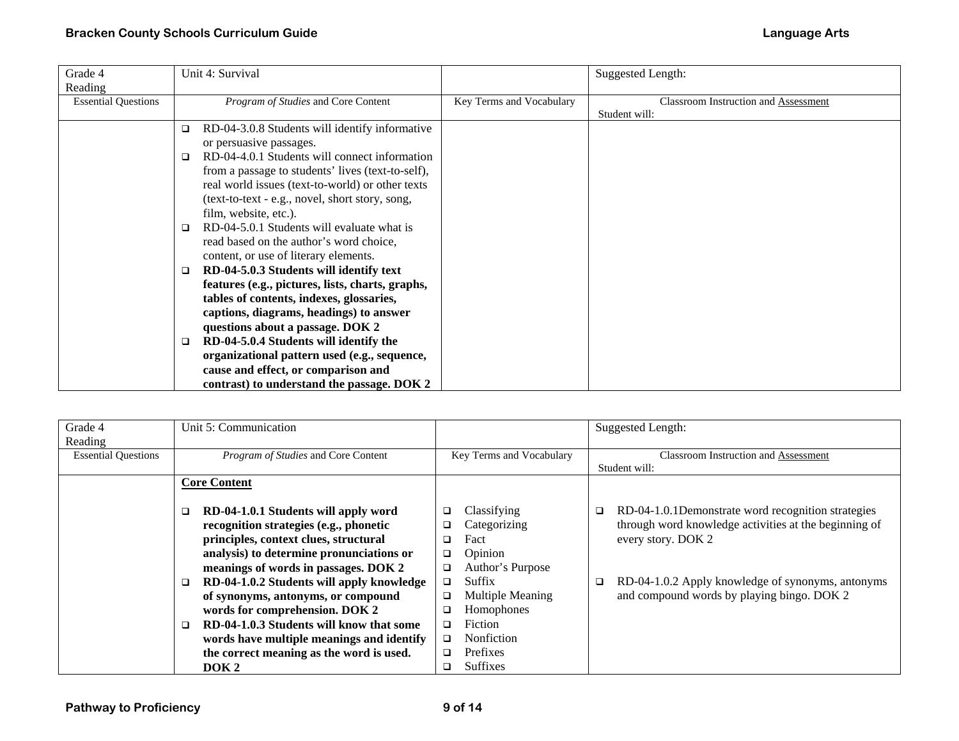| Grade 4                    | Unit 4: Survival                                    |                          | <b>Suggested Length:</b>                    |
|----------------------------|-----------------------------------------------------|--------------------------|---------------------------------------------|
| Reading                    |                                                     |                          |                                             |
| <b>Essential Questions</b> | Program of Studies and Core Content                 | Key Terms and Vocabulary | <b>Classroom Instruction and Assessment</b> |
|                            |                                                     |                          | Student will:                               |
|                            | RD-04-3.0.8 Students will identify informative<br>□ |                          |                                             |
|                            | or persuasive passages.                             |                          |                                             |
|                            | RD-04-4.0.1 Students will connect information<br>□  |                          |                                             |
|                            | from a passage to students' lives (text-to-self),   |                          |                                             |
|                            | real world issues (text-to-world) or other texts    |                          |                                             |
|                            | (text-to-text - e.g., novel, short story, song,     |                          |                                             |
|                            | film, website, etc.).                               |                          |                                             |
|                            | RD-04-5.0.1 Students will evaluate what is<br>□     |                          |                                             |
|                            | read based on the author's word choice,             |                          |                                             |
|                            | content, or use of literary elements.               |                          |                                             |
|                            | RD-04-5.0.3 Students will identify text<br>$\Box$   |                          |                                             |
|                            | features (e.g., pictures, lists, charts, graphs,    |                          |                                             |
|                            | tables of contents, indexes, glossaries,            |                          |                                             |
|                            | captions, diagrams, headings) to answer             |                          |                                             |
|                            | questions about a passage. DOK 2                    |                          |                                             |
|                            | RD-04-5.0.4 Students will identify the<br>$\Box$    |                          |                                             |
|                            | organizational pattern used (e.g., sequence,        |                          |                                             |
|                            | cause and effect, or comparison and                 |                          |                                             |
|                            | contrast) to understand the passage. DOK 2          |                          |                                             |

| Grade 4                    | Unit 5: Communication                          |                          | Suggested Length:                                     |
|----------------------------|------------------------------------------------|--------------------------|-------------------------------------------------------|
| Reading                    |                                                |                          |                                                       |
| <b>Essential Questions</b> | Program of Studies and Core Content            | Key Terms and Vocabulary | <b>Classroom Instruction and Assessment</b>           |
|                            |                                                |                          | Student will:                                         |
|                            | <b>Core Content</b>                            |                          |                                                       |
|                            |                                                |                          |                                                       |
|                            | RD-04-1.0.1 Students will apply word<br>□      | Classifying<br>❏         | RD-04-1.0.1Demonstrate word recognition strategies    |
|                            | recognition strategies (e.g., phonetic         | Categorizing             | through word knowledge activities at the beginning of |
|                            | principles, context clues, structural          | Fact<br>□                | every story. DOK 2                                    |
|                            | analysis) to determine pronunciations or       | Opinion<br>o.            |                                                       |
|                            | meanings of words in passages. DOK 2           | Author's Purpose<br>o.   |                                                       |
|                            | RD-04-1.0.2 Students will apply knowledge<br>□ | Suffix<br>□              | RD-04-1.0.2 Apply knowledge of synonyms, antonyms     |
|                            | of synonyms, antonyms, or compound             | Multiple Meaning         | and compound words by playing bingo. DOK 2            |
|                            | words for comprehension. DOK 2                 | Homophones               |                                                       |
|                            | RD-04-1.0.3 Students will know that some<br>□  | Fiction                  |                                                       |
|                            | words have multiple meanings and identify      | Nonfiction<br>□          |                                                       |
|                            | the correct meaning as the word is used.       | Prefixes<br>□            |                                                       |
|                            | DOK <sub>2</sub>                               | <b>Suffixes</b><br>◻     |                                                       |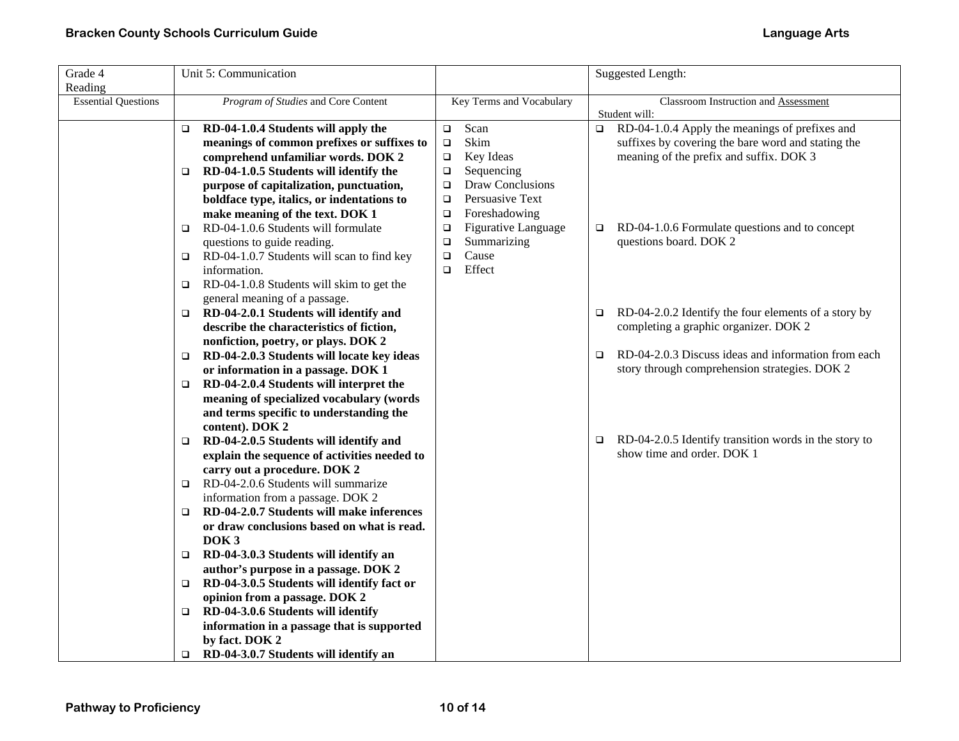| Grade 4                    | Unit 5: Communication                                                                            |                                   | <b>Suggested Length:</b>                                        |
|----------------------------|--------------------------------------------------------------------------------------------------|-----------------------------------|-----------------------------------------------------------------|
| Reading                    |                                                                                                  |                                   |                                                                 |
| <b>Essential Questions</b> | Program of Studies and Core Content                                                              | Key Terms and Vocabulary          | Classroom Instruction and Assessment<br>Student will:           |
|                            | RD-04-1.0.4 Students will apply the<br>$\Box$                                                    | Scan<br>$\Box$                    | RD-04-1.0.4 Apply the meanings of prefixes and<br>$\Box$        |
|                            | meanings of common prefixes or suffixes to                                                       | Skim<br>$\Box$                    | suffixes by covering the bare word and stating the              |
|                            | comprehend unfamiliar words. DOK 2                                                               | Key Ideas<br>$\Box$               | meaning of the prefix and suffix. DOK 3                         |
|                            | RD-04-1.0.5 Students will identify the<br>o.                                                     | Sequencing<br>$\Box$              |                                                                 |
|                            | purpose of capitalization, punctuation,                                                          | <b>Draw Conclusions</b><br>$\Box$ |                                                                 |
|                            | boldface type, italics, or indentations to                                                       | Persuasive Text<br>$\Box$         |                                                                 |
|                            | make meaning of the text. DOK 1                                                                  | Foreshadowing<br>$\Box$           |                                                                 |
|                            | RD-04-1.0.6 Students will formulate<br>o.                                                        | Figurative Language<br>$\Box$     | RD-04-1.0.6 Formulate questions and to concept<br>$\Box$        |
|                            | questions to guide reading.                                                                      | Summarizing<br>$\Box$             | questions board. DOK 2                                          |
|                            | RD-04-1.0.7 Students will scan to find key<br>$\Box$                                             | Cause<br>$\Box$                   |                                                                 |
|                            | information.                                                                                     | Effect<br>$\Box$                  |                                                                 |
|                            | RD-04-1.0.8 Students will skim to get the<br>□                                                   |                                   |                                                                 |
|                            | general meaning of a passage.                                                                    |                                   |                                                                 |
|                            | RD-04-2.0.1 Students will identify and<br>$\Box$                                                 |                                   | RD-04-2.0.2 Identify the four elements of a story by<br>$\Box$  |
|                            | describe the characteristics of fiction,                                                         |                                   | completing a graphic organizer. DOK 2                           |
|                            | nonfiction, poetry, or plays. DOK 2                                                              |                                   |                                                                 |
|                            | RD-04-2.0.3 Students will locate key ideas<br>o.                                                 |                                   | RD-04-2.0.3 Discuss ideas and information from each<br>$\Box$   |
|                            | or information in a passage. DOK 1                                                               |                                   | story through comprehension strategies. DOK 2                   |
|                            | RD-04-2.0.4 Students will interpret the<br>$\Box$                                                |                                   |                                                                 |
|                            | meaning of specialized vocabulary (words                                                         |                                   |                                                                 |
|                            | and terms specific to understanding the                                                          |                                   |                                                                 |
|                            | content). DOK 2                                                                                  |                                   | RD-04-2.0.5 Identify transition words in the story to<br>$\Box$ |
|                            | RD-04-2.0.5 Students will identify and<br>$\Box$<br>explain the sequence of activities needed to |                                   | show time and order. DOK 1                                      |
|                            | carry out a procedure. DOK 2                                                                     |                                   |                                                                 |
|                            | RD-04-2.0.6 Students will summarize<br>o.                                                        |                                   |                                                                 |
|                            | information from a passage. DOK 2                                                                |                                   |                                                                 |
|                            | RD-04-2.0.7 Students will make inferences<br>o.                                                  |                                   |                                                                 |
|                            | or draw conclusions based on what is read.                                                       |                                   |                                                                 |
|                            | DOK <sub>3</sub>                                                                                 |                                   |                                                                 |
|                            | RD-04-3.0.3 Students will identify an<br>o.                                                      |                                   |                                                                 |
|                            | author's purpose in a passage. DOK 2                                                             |                                   |                                                                 |
|                            | RD-04-3.0.5 Students will identify fact or<br>o.                                                 |                                   |                                                                 |
|                            | opinion from a passage. DOK 2                                                                    |                                   |                                                                 |
|                            | RD-04-3.0.6 Students will identify<br>□                                                          |                                   |                                                                 |
|                            | information in a passage that is supported                                                       |                                   |                                                                 |
|                            | by fact. DOK 2                                                                                   |                                   |                                                                 |
|                            | RD-04-3.0.7 Students will identify an<br>$\Box$                                                  |                                   |                                                                 |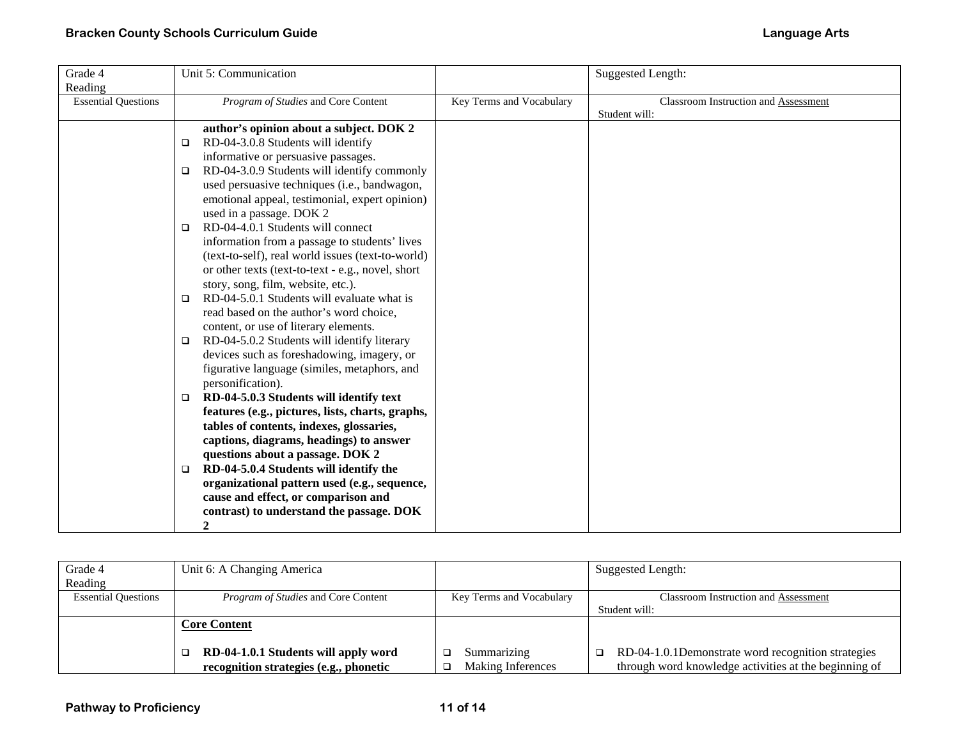| Grade 4                    | Unit 5: Communication                                 |                          | Suggested Length:                    |
|----------------------------|-------------------------------------------------------|--------------------------|--------------------------------------|
| Reading                    |                                                       |                          |                                      |
| <b>Essential Questions</b> | Program of Studies and Core Content                   | Key Terms and Vocabulary | Classroom Instruction and Assessment |
|                            |                                                       |                          | Student will:                        |
|                            | author's opinion about a subject. DOK 2               |                          |                                      |
|                            | RD-04-3.0.8 Students will identify<br>$\Box$          |                          |                                      |
|                            | informative or persuasive passages.                   |                          |                                      |
|                            | RD-04-3.0.9 Students will identify commonly<br>$\Box$ |                          |                                      |
|                            | used persuasive techniques (i.e., bandwagon,          |                          |                                      |
|                            | emotional appeal, testimonial, expert opinion)        |                          |                                      |
|                            | used in a passage. DOK 2                              |                          |                                      |
|                            | RD-04-4.0.1 Students will connect<br>□                |                          |                                      |
|                            | information from a passage to students' lives         |                          |                                      |
|                            | (text-to-self), real world issues (text-to-world)     |                          |                                      |
|                            | or other texts (text-to-text - e.g., novel, short     |                          |                                      |
|                            | story, song, film, website, etc.).                    |                          |                                      |
|                            | RD-04-5.0.1 Students will evaluate what is<br>□       |                          |                                      |
|                            | read based on the author's word choice,               |                          |                                      |
|                            | content, or use of literary elements.                 |                          |                                      |
|                            | RD-04-5.0.2 Students will identify literary<br>□      |                          |                                      |
|                            | devices such as foreshadowing, imagery, or            |                          |                                      |
|                            | figurative language (similes, metaphors, and          |                          |                                      |
|                            | personification).                                     |                          |                                      |
|                            | RD-04-5.0.3 Students will identify text<br>$\Box$     |                          |                                      |
|                            | features (e.g., pictures, lists, charts, graphs,      |                          |                                      |
|                            | tables of contents, indexes, glossaries,              |                          |                                      |
|                            | captions, diagrams, headings) to answer               |                          |                                      |
|                            | questions about a passage. DOK 2                      |                          |                                      |
|                            | RD-04-5.0.4 Students will identify the<br>$\Box$      |                          |                                      |
|                            | organizational pattern used (e.g., sequence,          |                          |                                      |
|                            | cause and effect, or comparison and                   |                          |                                      |
|                            | contrast) to understand the passage. DOK              |                          |                                      |
|                            | $\boldsymbol{2}$                                      |                          |                                      |

| Grade 4                    | Unit 6: A Changing America                 |                          | Suggested Length:                                     |
|----------------------------|--------------------------------------------|--------------------------|-------------------------------------------------------|
| Reading                    |                                            |                          |                                                       |
| <b>Essential Questions</b> | <i>Program of Studies</i> and Core Content | Key Terms and Vocabulary | <b>Classroom Instruction and Assessment</b>           |
|                            |                                            |                          | Student will:                                         |
|                            | <b>Core Content</b>                        |                          |                                                       |
|                            |                                            |                          |                                                       |
|                            | RD-04-1.0.1 Students will apply word       | Summarizing              | RD-04-1.0.1Demonstrate word recognition strategies    |
|                            | recognition strategies (e.g., phonetic     | <b>Making Inferences</b> | through word knowledge activities at the beginning of |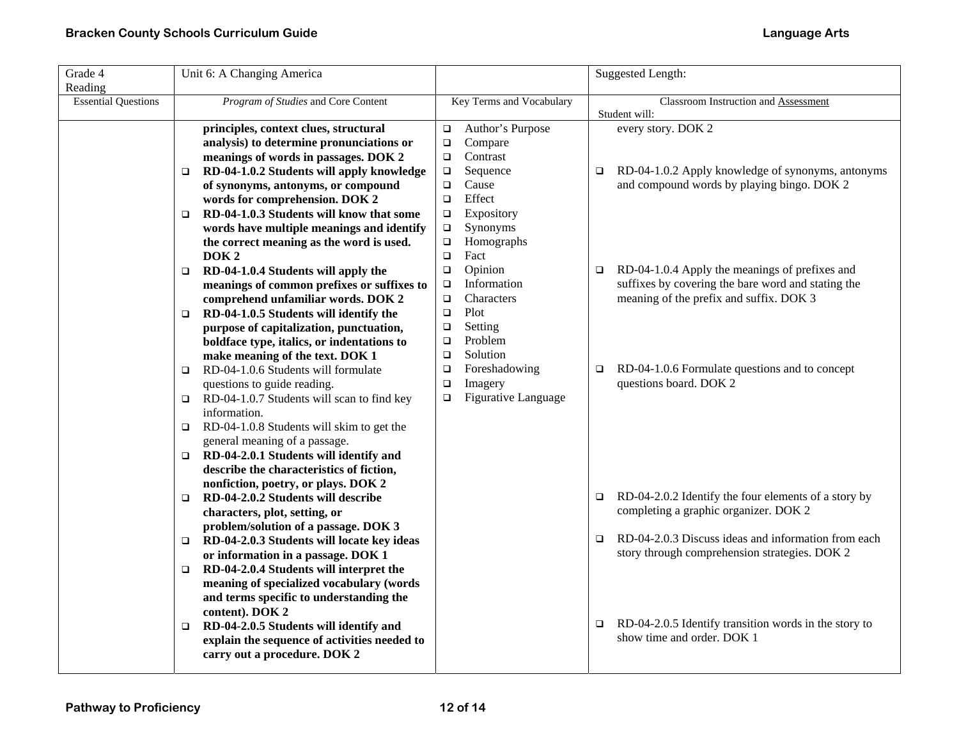| Grade 4<br>Reading         | Unit 6: A Changing America                                                       |                  |                          |        | Suggested Length:                                                        |  |
|----------------------------|----------------------------------------------------------------------------------|------------------|--------------------------|--------|--------------------------------------------------------------------------|--|
| <b>Essential Questions</b> | Program of Studies and Core Content                                              |                  | Key Terms and Vocabulary |        | Classroom Instruction and Assessment<br>Student will:                    |  |
|                            | principles, context clues, structural                                            | $\Box$           | Author's Purpose         |        | every story. DOK 2                                                       |  |
|                            | analysis) to determine pronunciations or                                         | $\Box$           | Compare                  |        |                                                                          |  |
|                            | meanings of words in passages. DOK 2                                             | $\Box$           | Contrast                 |        |                                                                          |  |
|                            | RD-04-1.0.2 Students will apply knowledge<br>□                                   | $\Box$           | Sequence                 | $\Box$ | RD-04-1.0.2 Apply knowledge of synonyms, antonyms                        |  |
|                            | of synonyms, antonyms, or compound                                               | $\Box$           | Cause                    |        | and compound words by playing bingo. DOK 2                               |  |
|                            | words for comprehension. DOK 2                                                   | $\Box$           | Effect                   |        |                                                                          |  |
|                            | RD-04-1.0.3 Students will know that some<br>$\Box$                               | $\Box$           | Expository               |        |                                                                          |  |
|                            | words have multiple meanings and identify                                        | $\Box$           | Synonyms                 |        |                                                                          |  |
|                            | the correct meaning as the word is used.                                         | $\Box$           | Homographs               |        |                                                                          |  |
|                            | DOK <sub>2</sub>                                                                 | $\Box$           | Fact                     |        |                                                                          |  |
|                            | RD-04-1.0.4 Students will apply the<br>□                                         | $\Box$           | Opinion                  | $\Box$ | RD-04-1.0.4 Apply the meanings of prefixes and                           |  |
|                            | meanings of common prefixes or suffixes to                                       | $\Box$           | Information              |        | suffixes by covering the bare word and stating the                       |  |
|                            | comprehend unfamiliar words. DOK 2                                               | $\Box$           | Characters               |        | meaning of the prefix and suffix. DOK 3                                  |  |
|                            | RD-04-1.0.5 Students will identify the<br>$\Box$                                 | $\Box$           | Plot                     |        |                                                                          |  |
|                            | purpose of capitalization, punctuation,                                          | $\Box$           | Setting                  |        |                                                                          |  |
|                            | boldface type, italics, or indentations to                                       | $\Box$           | Problem                  |        |                                                                          |  |
|                            | make meaning of the text. DOK 1                                                  | $\Box$           | Solution                 |        |                                                                          |  |
|                            | RD-04-1.0.6 Students will formulate<br>$\Box$                                    | $\Box$<br>$\Box$ | Foreshadowing<br>Imagery | $\Box$ | RD-04-1.0.6 Formulate questions and to concept<br>questions board. DOK 2 |  |
|                            | questions to guide reading.<br>$\Box$ RD-04-1.0.7 Students will scan to find key | $\Box$           | Figurative Language      |        |                                                                          |  |
|                            | information.                                                                     |                  |                          |        |                                                                          |  |
|                            | RD-04-1.0.8 Students will skim to get the<br>$\Box$                              |                  |                          |        |                                                                          |  |
|                            | general meaning of a passage.                                                    |                  |                          |        |                                                                          |  |
|                            | $\Box$ RD-04-2.0.1 Students will identify and                                    |                  |                          |        |                                                                          |  |
|                            | describe the characteristics of fiction,                                         |                  |                          |        |                                                                          |  |
|                            | nonfiction, poetry, or plays. DOK 2                                              |                  |                          |        |                                                                          |  |
|                            | RD-04-2.0.2 Students will describe<br>$\Box$                                     |                  |                          | $\Box$ | RD-04-2.0.2 Identify the four elements of a story by                     |  |
|                            | characters, plot, setting, or                                                    |                  |                          |        | completing a graphic organizer. DOK 2                                    |  |
|                            | problem/solution of a passage. DOK 3                                             |                  |                          |        |                                                                          |  |
|                            | RD-04-2.0.3 Students will locate key ideas<br>$\Box$                             |                  |                          | $\Box$ | RD-04-2.0.3 Discuss ideas and information from each                      |  |
|                            | or information in a passage. DOK 1                                               |                  |                          |        | story through comprehension strategies. DOK 2                            |  |
|                            | RD-04-2.0.4 Students will interpret the<br>$\Box$                                |                  |                          |        |                                                                          |  |
|                            | meaning of specialized vocabulary (words                                         |                  |                          |        |                                                                          |  |
|                            | and terms specific to understanding the                                          |                  |                          |        |                                                                          |  |
|                            | content). DOK 2                                                                  |                  |                          |        |                                                                          |  |
|                            | RD-04-2.0.5 Students will identify and<br>$\Box$                                 |                  |                          | $\Box$ | RD-04-2.0.5 Identify transition words in the story to                    |  |
|                            | explain the sequence of activities needed to                                     |                  |                          |        | show time and order. DOK 1                                               |  |
|                            | carry out a procedure. DOK 2                                                     |                  |                          |        |                                                                          |  |